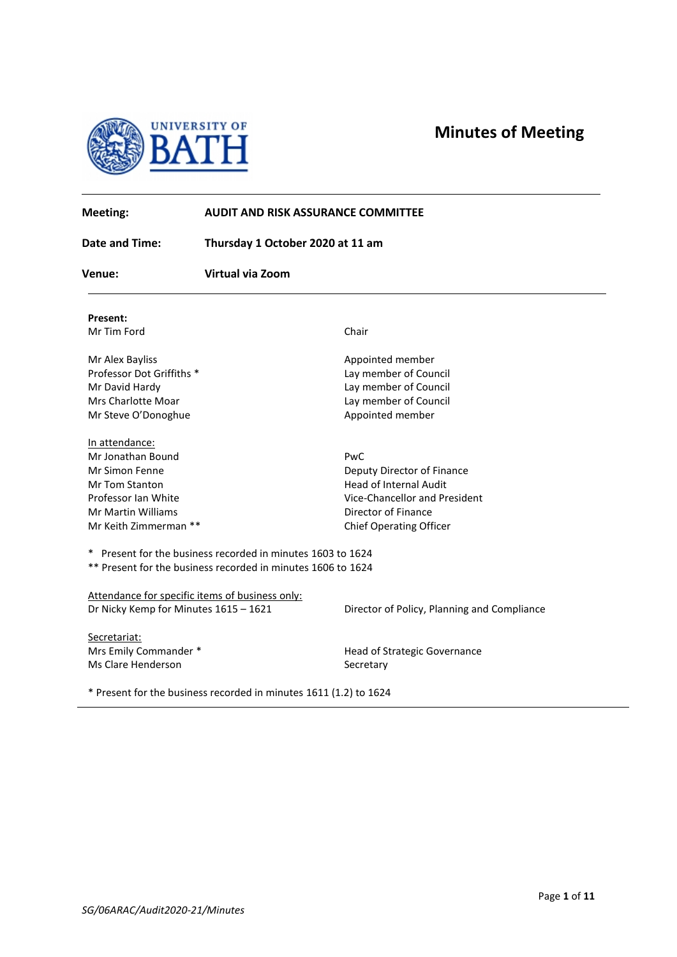



| Meeting:                              | <b>AUDIT AND RISK ASSURANCE COMMITTEE</b>                         |                                             |
|---------------------------------------|-------------------------------------------------------------------|---------------------------------------------|
| Date and Time:                        | Thursday 1 October 2020 at 11 am                                  |                                             |
| <b>Virtual via Zoom</b><br>Venue:     |                                                                   |                                             |
| <b>Present:</b>                       |                                                                   |                                             |
| Mr Tim Ford                           |                                                                   | Chair                                       |
| Mr Alex Bayliss                       |                                                                   | Appointed member                            |
| Professor Dot Griffiths *             |                                                                   | Lay member of Council                       |
| Mr David Hardy                        |                                                                   | Lay member of Council                       |
| <b>Mrs Charlotte Moar</b>             |                                                                   | Lay member of Council                       |
| Mr Steve O'Donoghue                   |                                                                   | Appointed member                            |
| In attendance:                        |                                                                   |                                             |
| Mr Jonathan Bound                     |                                                                   | PwC                                         |
| <b>Mr Simon Fenne</b>                 |                                                                   | Deputy Director of Finance                  |
| Mr Tom Stanton                        |                                                                   | Head of Internal Audit                      |
| Professor Ian White                   |                                                                   | Vice-Chancellor and President               |
| Mr Martin Williams                    |                                                                   | Director of Finance                         |
| Mr Keith Zimmerman **                 |                                                                   | <b>Chief Operating Officer</b>              |
|                                       | * Present for the business recorded in minutes 1603 to 1624       |                                             |
|                                       | ** Present for the business recorded in minutes 1606 to 1624      |                                             |
|                                       | Attendance for specific items of business only:                   |                                             |
| Dr Nicky Kemp for Minutes 1615 - 1621 |                                                                   | Director of Policy, Planning and Compliance |
| Secretariat:                          |                                                                   |                                             |
| Mrs Emily Commander *                 |                                                                   | Head of Strategic Governance                |
| Ms Clare Henderson                    |                                                                   | Secretary                                   |
|                                       | * Present for the business recorded in minutes 1611 (1.2) to 1624 |                                             |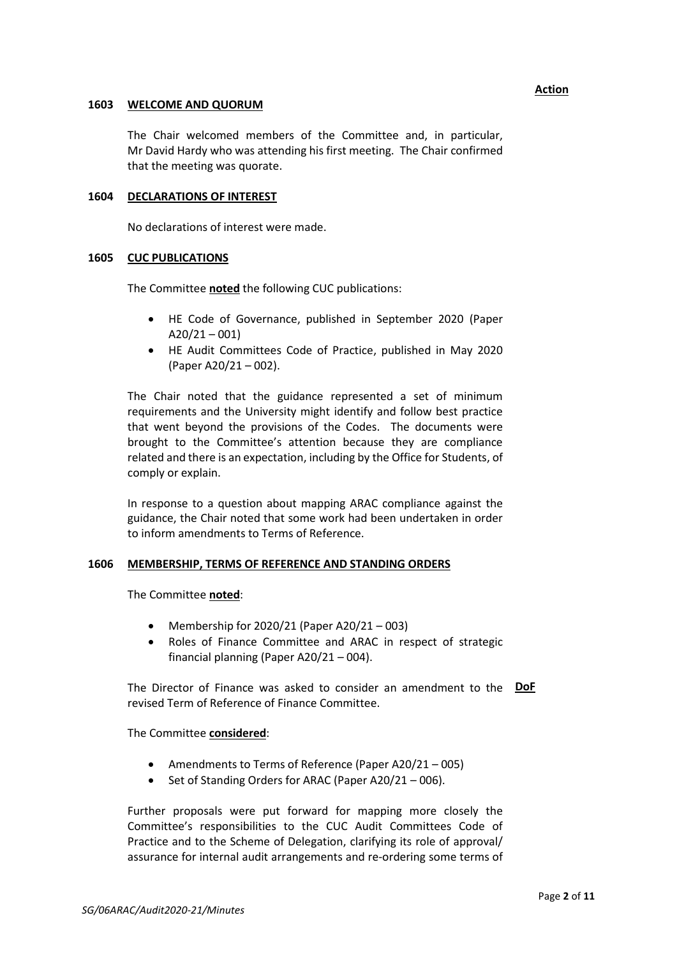### **1603 WELCOME AND QUORUM**

The Chair welcomed members of the Committee and, in particular, Mr David Hardy who was attending his first meeting. The Chair confirmed that the meeting was quorate.

## **1604 DECLARATIONS OF INTEREST**

No declarations of interest were made.

### **1605 CUC PUBLICATIONS**

The Committee **noted** the following CUC publications:

- HE Code of Governance, published in September 2020 (Paper  $A20/21 - 001$
- HE Audit Committees Code of Practice, published in May 2020 (Paper A20/21 – 002).

The Chair noted that the guidance represented a set of minimum requirements and the University might identify and follow best practice that went beyond the provisions of the Codes. The documents were brought to the Committee's attention because they are compliance related and there is an expectation, including by the Office for Students, of comply or explain.

In response to a question about mapping ARAC compliance against the guidance, the Chair noted that some work had been undertaken in order to inform amendments to Terms of Reference.

#### **1606 MEMBERSHIP, TERMS OF REFERENCE AND STANDING ORDERS**

The Committee **noted**:

- Membership for 2020/21 (Paper A20/21 003)
- Roles of Finance Committee and ARAC in respect of strategic financial planning (Paper A20/21 – 004).

The Director of Finance was asked to consider an amendment to the **DoF** revised Term of Reference of Finance Committee.

The Committee **considered**:

- Amendments to Terms of Reference (Paper A20/21 005)
- Set of Standing Orders for ARAC (Paper A20/21 006).

Further proposals were put forward for mapping more closely the Committee's responsibilities to the CUC Audit Committees Code of Practice and to the Scheme of Delegation, clarifying its role of approval/ assurance for internal audit arrangements and re-ordering some terms of

### **Action**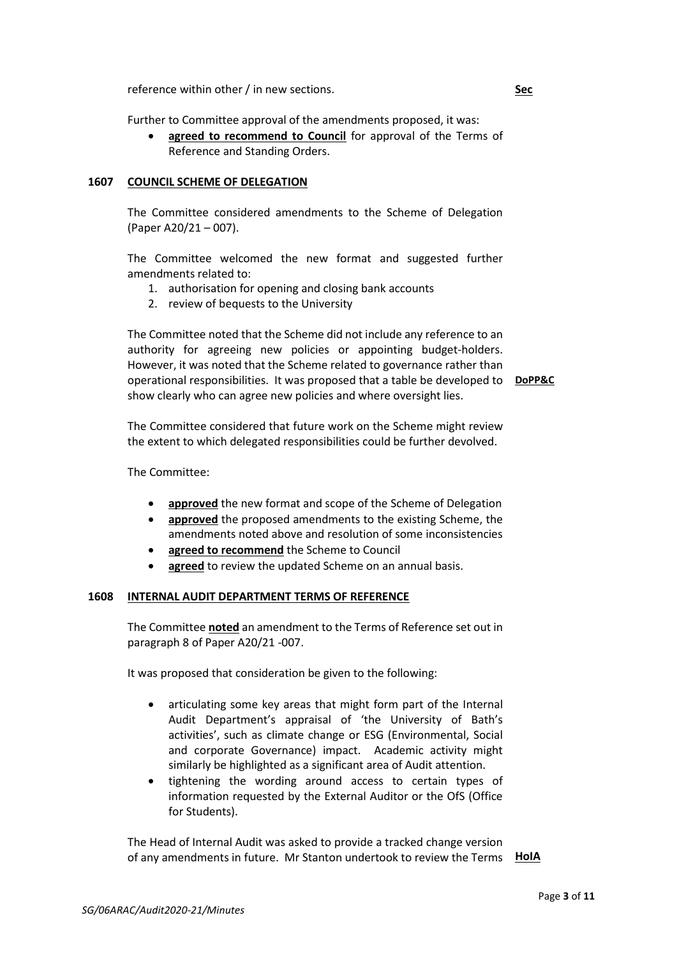reference within other / in new sections.

Further to Committee approval of the amendments proposed, it was:

• **agreed to recommend to Council** for approval of the Terms of Reference and Standing Orders.

### **1607 COUNCIL SCHEME OF DELEGATION**

The Committee considered amendments to the Scheme of Delegation (Paper A20/21 – 007).

The Committee welcomed the new format and suggested further amendments related to:

- 1. authorisation for opening and closing bank accounts
- 2. review of bequests to the University

The Committee noted that the Scheme did not include any reference to an authority for agreeing new policies or appointing budget-holders. However, it was noted that the Scheme related to governance rather than operational responsibilities. It was proposed that a table be developed to **DoPP&C** show clearly who can agree new policies and where oversight lies.

The Committee considered that future work on the Scheme might review the extent to which delegated responsibilities could be further devolved.

The Committee:

- **approved** the new format and scope of the Scheme of Delegation
- **approved** the proposed amendments to the existing Scheme, the amendments noted above and resolution of some inconsistencies
- **agreed to recommend** the Scheme to Council
- **agreed** to review the updated Scheme on an annual basis.

#### **1608 INTERNAL AUDIT DEPARTMENT TERMS OF REFERENCE**

The Committee **noted** an amendment to the Terms of Reference set out in paragraph 8 of Paper A20/21 -007.

It was proposed that consideration be given to the following:

- articulating some key areas that might form part of the Internal Audit Department's appraisal of 'the University of Bath's activities', such as climate change or ESG (Environmental, Social and corporate Governance) impact. Academic activity might similarly be highlighted as a significant area of Audit attention.
- tightening the wording around access to certain types of information requested by the External Auditor or the OfS (Office for Students).

The Head of Internal Audit was asked to provide a tracked change version of any amendments in future. Mr Stanton undertook to review the Terms **HoIA**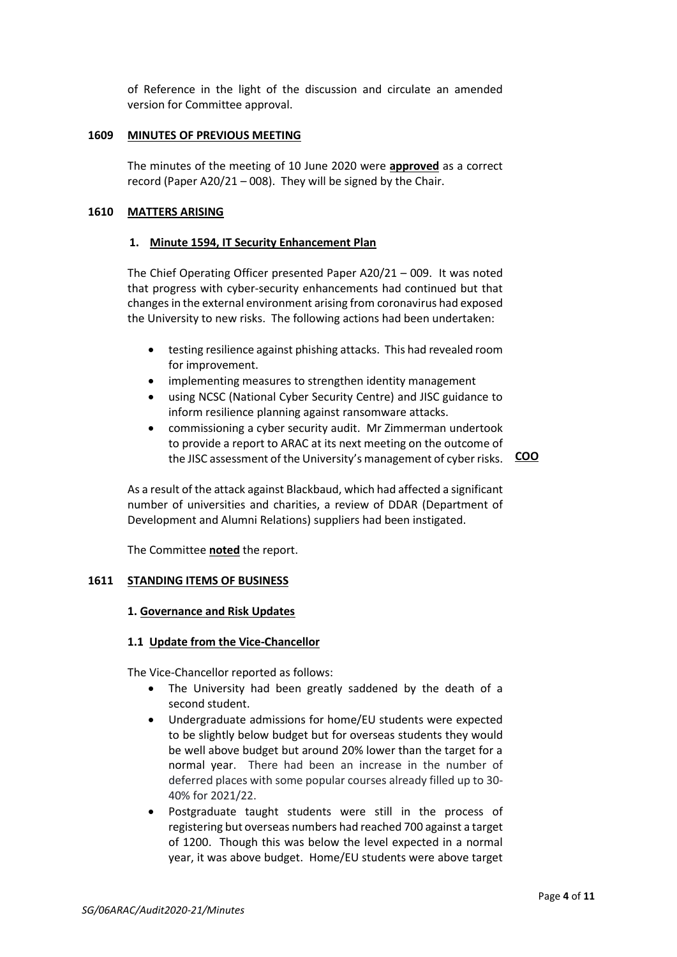of Reference in the light of the discussion and circulate an amended version for Committee approval.

### **1609 MINUTES OF PREVIOUS MEETING**

The minutes of the meeting of 10 June 2020 were **approved** as a correct record (Paper A20/21 – 008). They will be signed by the Chair.

## **1610 MATTERS ARISING**

### **1. Minute 1594, IT Security Enhancement Plan**

The Chief Operating Officer presented Paper A20/21 – 009. It was noted that progress with cyber-security enhancements had continued but that changes in the external environment arising from coronavirus had exposed the University to new risks. The following actions had been undertaken:

- testing resilience against phishing attacks. This had revealed room for improvement.
- implementing measures to strengthen identity management
- using NCSC (National Cyber Security Centre) and JISC guidance to inform resilience planning against ransomware attacks.
- commissioning a cyber security audit. Mr Zimmerman undertook to provide a report to ARAC at its next meeting on the outcome of the JISC assessment of the University's management of cyber risks. **COO**

As a result of the attack against Blackbaud, which had affected a significant number of universities and charities, a review of DDAR (Department of Development and Alumni Relations) suppliers had been instigated.

The Committee **noted** the report.

# **1611 STANDING ITEMS OF BUSINESS**

#### **1. Governance and Risk Updates**

#### **1.1 Update from the Vice-Chancellor**

The Vice-Chancellor reported as follows:

- The University had been greatly saddened by the death of a second student.
- Undergraduate admissions for home/EU students were expected to be slightly below budget but for overseas students they would be well above budget but around 20% lower than the target for a normal year. There had been an increase in the number of deferred places with some popular courses already filled up to 30- 40% for 2021/22.
- Postgraduate taught students were still in the process of registering but overseas numbers had reached 700 against a target of 1200. Though this was below the level expected in a normal year, it was above budget. Home/EU students were above target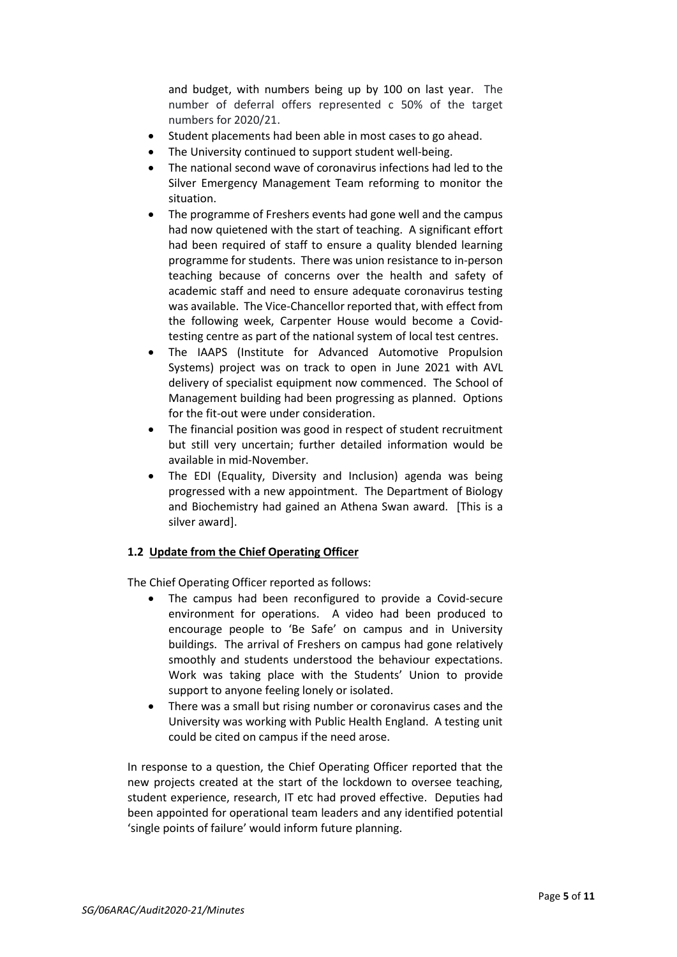and budget, with numbers being up by 100 on last year. The number of deferral offers represented c 50% of the target numbers for 2020/21.

- Student placements had been able in most cases to go ahead.
- The University continued to support student well-being.
- The national second wave of coronavirus infections had led to the Silver Emergency Management Team reforming to monitor the situation.
- The programme of Freshers events had gone well and the campus had now quietened with the start of teaching. A significant effort had been required of staff to ensure a quality blended learning programme for students. There was union resistance to in-person teaching because of concerns over the health and safety of academic staff and need to ensure adequate coronavirus testing was available. The Vice-Chancellor reported that, with effect from the following week, Carpenter House would become a Covidtesting centre as part of the national system of local test centres.
- The IAAPS (Institute for Advanced Automotive Propulsion Systems) project was on track to open in June 2021 with AVL delivery of specialist equipment now commenced. The School of Management building had been progressing as planned. Options for the fit-out were under consideration.
- The financial position was good in respect of student recruitment but still very uncertain; further detailed information would be available in mid-November.
- The EDI (Equality, Diversity and Inclusion) agenda was being progressed with a new appointment. The Department of Biology and Biochemistry had gained an Athena Swan award. [This is a silver award].

# **1.2 Update from the Chief Operating Officer**

The Chief Operating Officer reported as follows:

- The campus had been reconfigured to provide a Covid-secure environment for operations. A video had been produced to encourage people to 'Be Safe' on campus and in University buildings. The arrival of Freshers on campus had gone relatively smoothly and students understood the behaviour expectations. Work was taking place with the Students' Union to provide support to anyone feeling lonely or isolated.
- There was a small but rising number or coronavirus cases and the University was working with Public Health England. A testing unit could be cited on campus if the need arose.

In response to a question, the Chief Operating Officer reported that the new projects created at the start of the lockdown to oversee teaching, student experience, research, IT etc had proved effective. Deputies had been appointed for operational team leaders and any identified potential 'single points of failure' would inform future planning.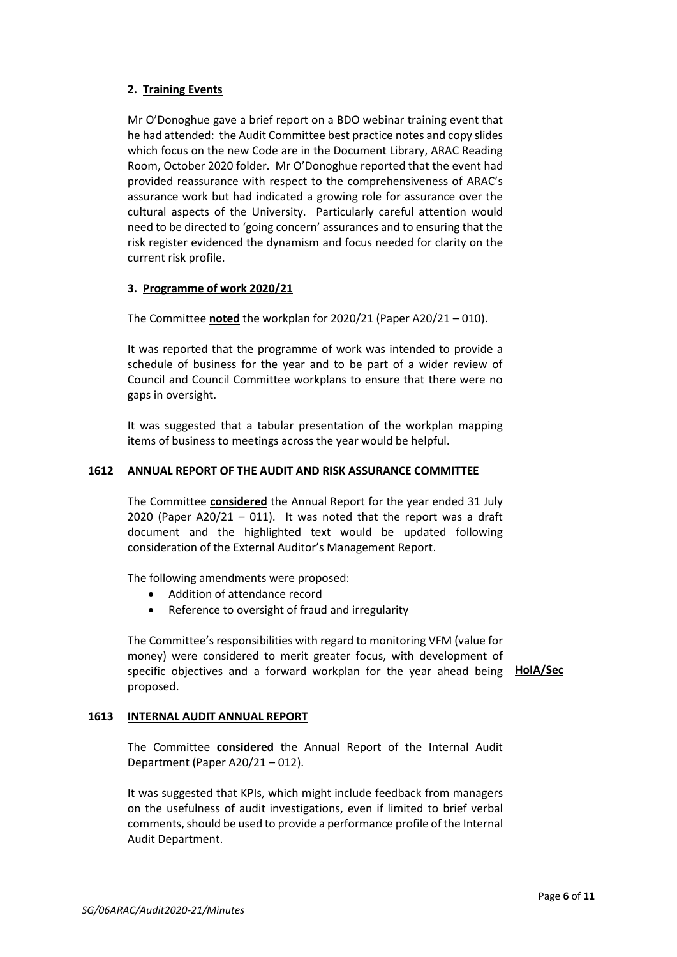# **2. Training Events**

Mr O'Donoghue gave a brief report on a BDO webinar training event that he had attended: the Audit Committee best practice notes and copy slides which focus on the new Code are in the Document Library, ARAC Reading Room, October 2020 folder. Mr O'Donoghue reported that the event had provided reassurance with respect to the comprehensiveness of ARAC's assurance work but had indicated a growing role for assurance over the cultural aspects of the University. Particularly careful attention would need to be directed to 'going concern' assurances and to ensuring that the risk register evidenced the dynamism and focus needed for clarity on the current risk profile.

# **3. Programme of work 2020/21**

The Committee **noted** the workplan for 2020/21 (Paper A20/21 – 010).

It was reported that the programme of work was intended to provide a schedule of business for the year and to be part of a wider review of Council and Council Committee workplans to ensure that there were no gaps in oversight.

It was suggested that a tabular presentation of the workplan mapping items of business to meetings across the year would be helpful.

# **1612 ANNUAL REPORT OF THE AUDIT AND RISK ASSURANCE COMMITTEE**

The Committee **considered** the Annual Report for the year ended 31 July 2020 (Paper A20/21 – 011). It was noted that the report was a draft document and the highlighted text would be updated following consideration of the External Auditor's Management Report.

The following amendments were proposed:

- Addition of attendance record
- Reference to oversight of fraud and irregularity

The Committee's responsibilities with regard to monitoring VFM (value for money) were considered to merit greater focus, with development of specific objectives and a forward workplan for the year ahead being **HoIA/Sec** proposed.

# **1613 INTERNAL AUDIT ANNUAL REPORT**

The Committee **considered** the Annual Report of the Internal Audit Department (Paper A20/21 – 012).

It was suggested that KPIs, which might include feedback from managers on the usefulness of audit investigations, even if limited to brief verbal comments, should be used to provide a performance profile of the Internal Audit Department.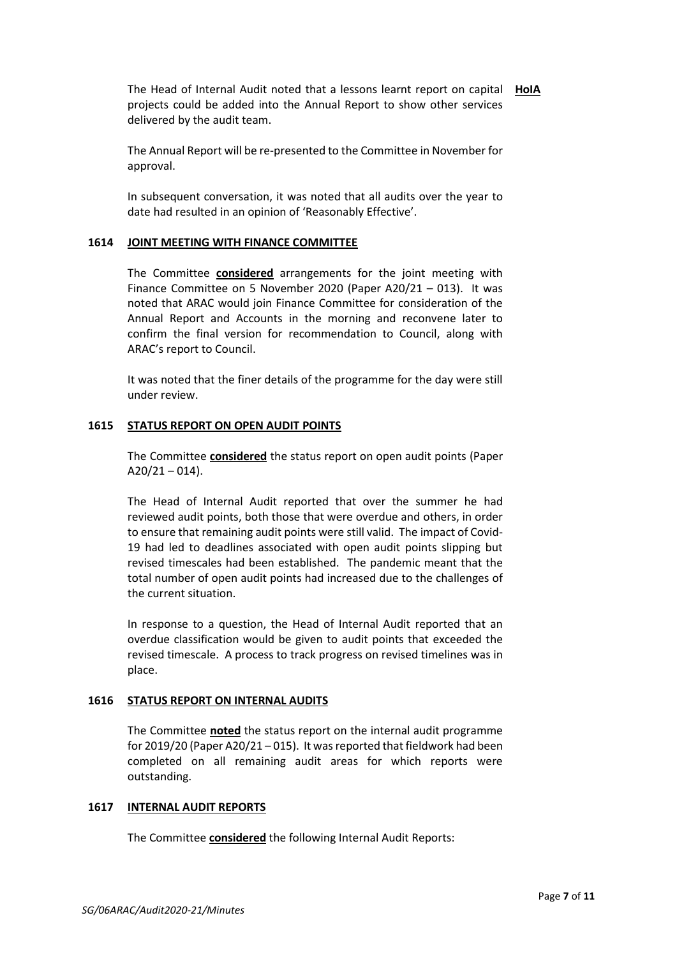The Head of Internal Audit noted that a lessons learnt report on capital **HoIA** projects could be added into the Annual Report to show other services delivered by the audit team.

The Annual Report will be re-presented to the Committee in November for approval.

In subsequent conversation, it was noted that all audits over the year to date had resulted in an opinion of 'Reasonably Effective'.

### **1614 JOINT MEETING WITH FINANCE COMMITTEE**

The Committee **considered** arrangements for the joint meeting with Finance Committee on 5 November 2020 (Paper A20/21 – 013). It was noted that ARAC would join Finance Committee for consideration of the Annual Report and Accounts in the morning and reconvene later to confirm the final version for recommendation to Council, along with ARAC's report to Council.

It was noted that the finer details of the programme for the day were still under review.

## **1615 STATUS REPORT ON OPEN AUDIT POINTS**

The Committee **considered** the status report on open audit points (Paper  $A20/21 - 014$ ).

The Head of Internal Audit reported that over the summer he had reviewed audit points, both those that were overdue and others, in order to ensure that remaining audit points were still valid. The impact of Covid-19 had led to deadlines associated with open audit points slipping but revised timescales had been established. The pandemic meant that the total number of open audit points had increased due to the challenges of the current situation.

In response to a question, the Head of Internal Audit reported that an overdue classification would be given to audit points that exceeded the revised timescale. A process to track progress on revised timelines was in place.

#### **1616 STATUS REPORT ON INTERNAL AUDITS**

The Committee **noted** the status report on the internal audit programme for 2019/20 (Paper A20/21 – 015). It was reported that fieldwork had been completed on all remaining audit areas for which reports were outstanding.

#### **1617 INTERNAL AUDIT REPORTS**

The Committee **considered** the following Internal Audit Reports: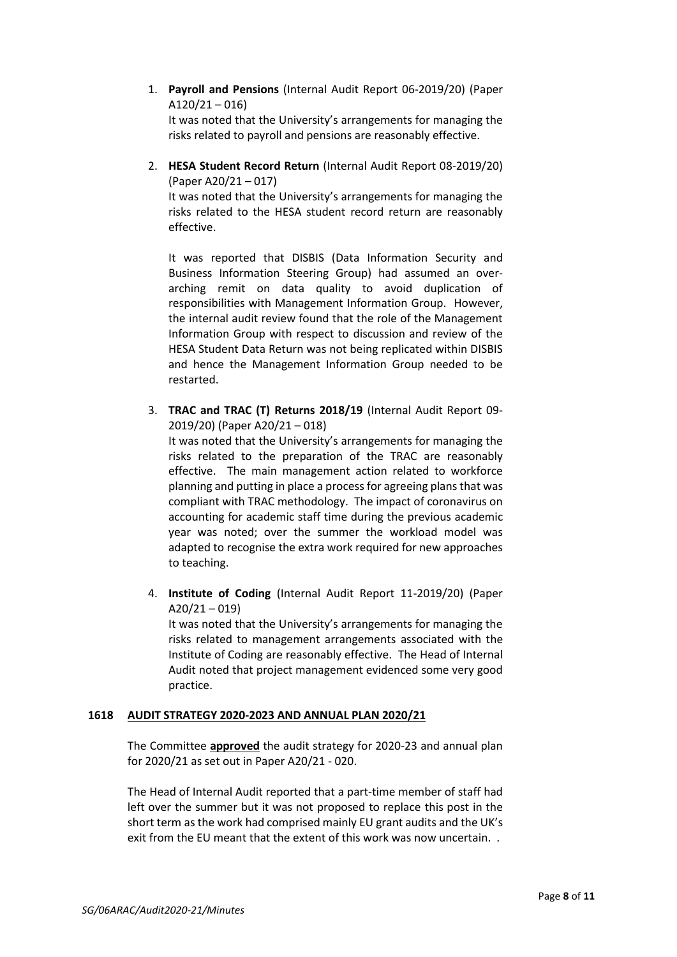1. **Payroll and Pensions** (Internal Audit Report 06-2019/20) (Paper  $A120/21 - 016$ 

It was noted that the University's arrangements for managing the risks related to payroll and pensions are reasonably effective.

2. **HESA Student Record Return** (Internal Audit Report 08-2019/20) (Paper A20/21 – 017)

It was noted that the University's arrangements for managing the risks related to the HESA student record return are reasonably effective.

It was reported that DISBIS (Data Information Security and Business Information Steering Group) had assumed an overarching remit on data quality to avoid duplication of responsibilities with Management Information Group. However, the internal audit review found that the role of the Management Information Group with respect to discussion and review of the HESA Student Data Return was not being replicated within DISBIS and hence the Management Information Group needed to be restarted.

3. **TRAC and TRAC (T) Returns 2018/19** (Internal Audit Report 09- 2019/20) (Paper A20/21 – 018)

It was noted that the University's arrangements for managing the risks related to the preparation of the TRAC are reasonably effective. The main management action related to workforce planning and putting in place a process for agreeing plans that was compliant with TRAC methodology. The impact of coronavirus on accounting for academic staff time during the previous academic year was noted; over the summer the workload model was adapted to recognise the extra work required for new approaches to teaching.

4. **Institute of Coding** (Internal Audit Report 11-2019/20) (Paper  $A20/21 - 019$ It was noted that the University's arrangements for managing the risks related to management arrangements associated with the Institute of Coding are reasonably effective. The Head of Internal Audit noted that project management evidenced some very good practice.

# **1618 AUDIT STRATEGY 2020-2023 AND ANNUAL PLAN 2020/21**

The Committee **approved** the audit strategy for 2020-23 and annual plan for 2020/21 as set out in Paper A20/21 - 020.

The Head of Internal Audit reported that a part-time member of staff had left over the summer but it was not proposed to replace this post in the short term as the work had comprised mainly EU grant audits and the UK's exit from the EU meant that the extent of this work was now uncertain. .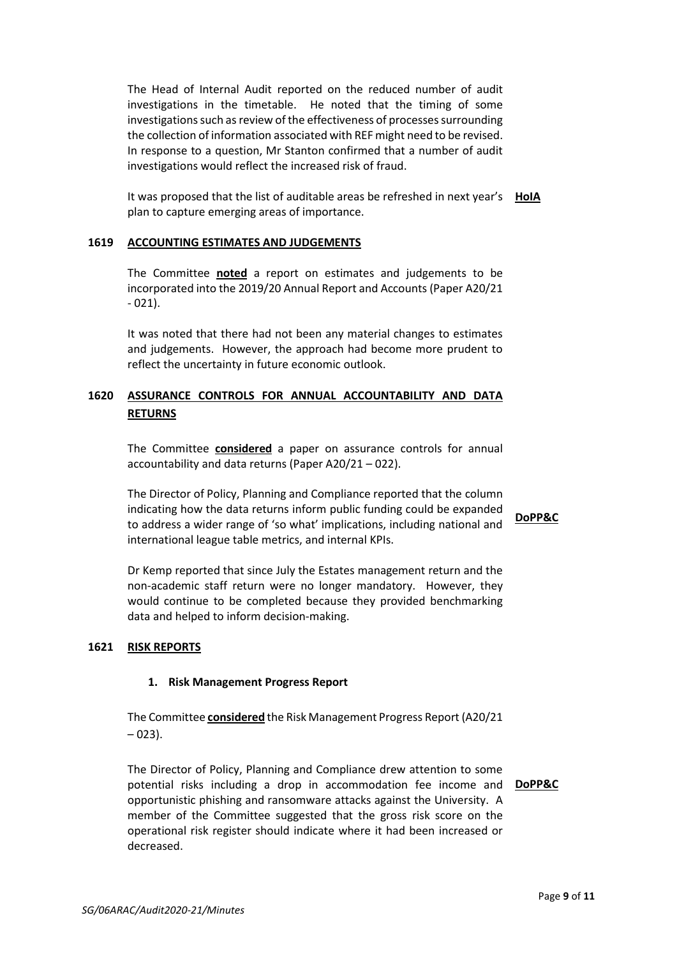The Head of Internal Audit reported on the reduced number of audit investigations in the timetable. He noted that the timing of some investigations such as review of the effectiveness of processes surrounding the collection of information associated with REF might need to be revised. In response to a question, Mr Stanton confirmed that a number of audit investigations would reflect the increased risk of fraud.

It was proposed that the list of auditable areas be refreshed in next year's **HolA** plan to capture emerging areas of importance.

### **1619 ACCOUNTING ESTIMATES AND JUDGEMENTS**

The Committee **noted** a report on estimates and judgements to be incorporated into the 2019/20 Annual Report and Accounts (Paper A20/21 - 021).

It was noted that there had not been any material changes to estimates and judgements. However, the approach had become more prudent to reflect the uncertainty in future economic outlook.

# **1620 ASSURANCE CONTROLS FOR ANNUAL ACCOUNTABILITY AND DATA RETURNS**

The Committee **considered** a paper on assurance controls for annual accountability and data returns (Paper A20/21 – 022).

The Director of Policy, Planning and Compliance reported that the column indicating how the data returns inform public funding could be expanded to address a wider range of 'so what' implications, including national and international league table metrics, and internal KPIs.

**DoPP&C**

Dr Kemp reported that since July the Estates management return and the non-academic staff return were no longer mandatory. However, they would continue to be completed because they provided benchmarking data and helped to inform decision-making.

# **1621 RISK REPORTS**

# **1. Risk Management Progress Report**

The Committee **considered** the Risk Management Progress Report (A20/21  $-023$ ).

The Director of Policy, Planning and Compliance drew attention to some potential risks including a drop in accommodation fee income and **DoPP&C**opportunistic phishing and ransomware attacks against the University. A member of the Committee suggested that the gross risk score on the operational risk register should indicate where it had been increased or decreased.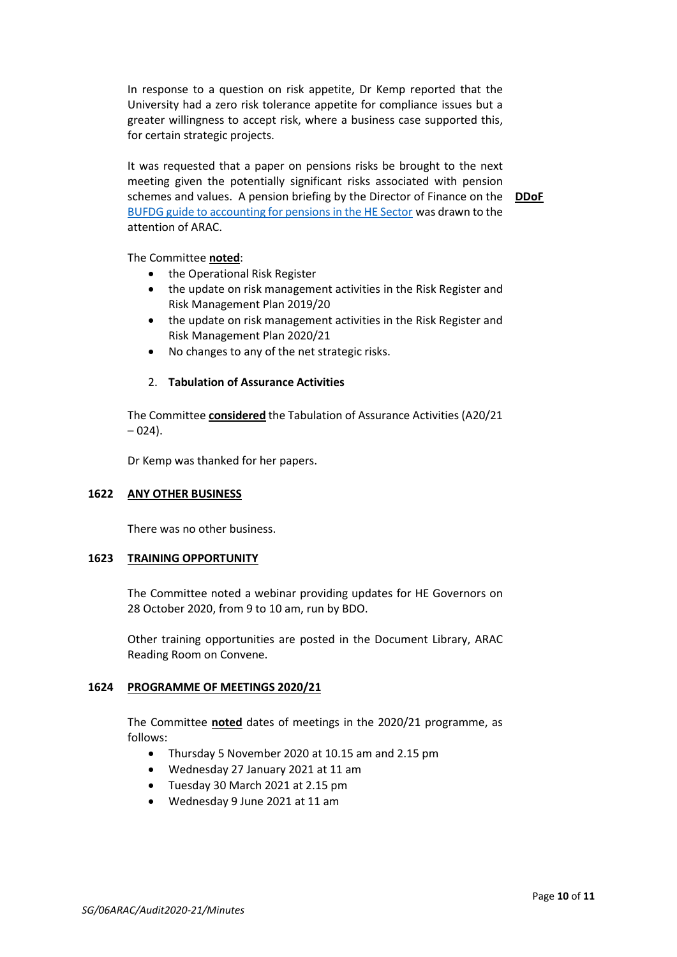In response to a question on risk appetite, Dr Kemp reported that the University had a zero risk tolerance appetite for compliance issues but a greater willingness to accept risk, where a business case supported this, for certain strategic projects.

It was requested that a paper on pensions risks be brought to the next meeting given the potentially significant risks associated with pension schemes and values. A pension briefing by the Director of Finance on the **DDoF** [BUFDG guide to accounting for pensions in the HE Sector](https://eur01.safelinks.protection.outlook.com/?url=https%3A%2F%2Fwww.bufdg.ac.uk%2FResources%2FNews%2FView%3Fg%3D18ca2b34-6bba-4285-93d5-2e616546c37a%26t%3DGuide%2520to%2520Accounting%2520for%2520Pensions%2520in%2520HE&data=02%7C01%7CStrategic-Governance%40bath.ac.uk%7C36a3221a14f2487841fd08d86a123811%7C377e3d224ea1422db0ad8fcc89406b9e%7C0%7C0%7C637375973772864957&sdata=Lb86aCTm7XlcJdDpCc17FXU%2Ba3JCmkhc5QEcXD81%2Ft8%3D&reserved=0) was drawn to the attention of ARAC.

The Committee **noted**:

- the Operational Risk Register
- the update on risk management activities in the Risk Register and Risk Management Plan 2019/20
- the update on risk management activities in the Risk Register and Risk Management Plan 2020/21
- No changes to any of the net strategic risks.

### 2. **Tabulation of Assurance Activities**

The Committee **considered** the Tabulation of Assurance Activities (A20/21  $-024$ ).

Dr Kemp was thanked for her papers.

#### **1622 ANY OTHER BUSINESS**

There was no other business.

#### **1623 TRAINING OPPORTUNITY**

The Committee noted a webinar providing updates for HE Governors on 28 October 2020, from 9 to 10 am, run by BDO.

Other training opportunities are posted in the Document Library, ARAC Reading Room on Convene.

# **1624 PROGRAMME OF MEETINGS 2020/21**

The Committee **noted** dates of meetings in the 2020/21 programme, as follows:

- Thursday 5 November 2020 at 10.15 am and 2.15 pm
- Wednesday 27 January 2021 at 11 am
- Tuesday 30 March 2021 at 2.15 pm
- Wednesday 9 June 2021 at 11 am